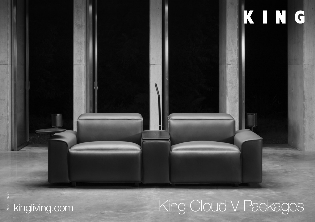

# kingliving.com King Cloud V Packages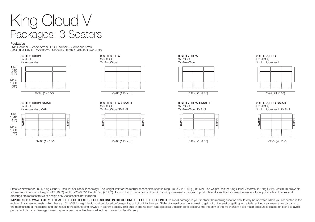### King Cloud V Packages: 3 Seaters

Packages<br>RW (Recliner + Wide Arms) | RC (Recliner + Compact Arms)  $R$ W (Recliner + Compact Arms) Hotel Arms) | Modules Depth 1040–1500 (41–59")



3x 900R, 2x ArmWide SMART



#### 3 STR 800RW 3x 800R,

2x ArmWide



3 STR 800RW SMART 3x 800R, 2x ArmWide SMART



2940 (115.75")







3 STR 700RW SMART 3x 700R, 2x ArmWide SMART



2655 (104.5")

#### 3 STR 700RC 3x 700R,

2x ArmCompact



2495 (98.25")

3 STR 700RC SMART 3x 700R, 2x ArmCompact SMART



2495 (98.25")

Effective November 2021. King Cloud V uses TouchGlide® Technology. The weight limit for the recliner mechanism used in King Cloud V is 130kg (286.5lb). The weight limit for King Cloud V footrest is 15kg (33lb). Maximum all subwoofer dimensions: Height: 415 (16.5") Width: 220 (8.75") Depth: 640 (25.25"). As King Living has a policy of continuous improvement, changes to products and specifications may be made without prior notice. Images and drawings are representative of design only. Accessories not included.

IMPORTANT: ALWAYS FULLY RETRACT THE FOOTREST BEFORE SITTING IN OR GETTING OUT OF THE RECLINER. To avoid damage to your reclinier, the reclining function should only be operated when you are seated in the recliner. Any open footrests, which have a 15kg (33lb) weight limit, must be closed before getting out of or into the seat. Sliding forward over the footrest to get out of the seat or getting into a fully reclined seat may the mechanism of the recliner and can result in the sofa tipping forward in extreme cases. This built-in tipping point was specifically designed to preserve the integrity of the mechanism if too much pressure is placed on permanent damage. Damage caused by improper use of Recliners will not be covered under Warranty.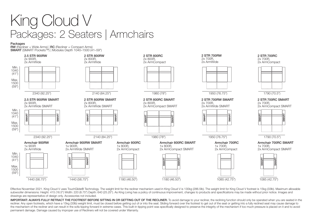### King Cloud V Packages: 2 Seaters | Armchairs

#### Packages

RW (Recliner + Wide Arms) | RC (Recliner + Compact Arms) SMART (SMART Pockets™) | Modules Depth 1040–1500 (41–59")



Effective November 2021. King Cloud V uses TouchGlide® Technology. The weight limit for the recliner mechanism used in King Cloud V is 130kg (286.5lb). The weight limit for King Cloud V footrest is 15kg (33lb). Maximum all subwoofer dimensions: Height: 415 (16.5") Width: 220 (8.75") Depth: 640 (25.25"). As King Living has a policy of continuous improvement, changes to products and specifications may be made without prior notice. Images and drawings are representative of design only. Accessories not included.

IMPORTANT: ALWAYS FULLY RETRACT THE FOOTREST BEFORE SITTING IN OR GETTING OUT OF THE RECLINER. To avoid damage to your recliner, the reclining function should only be operated when you are seated in the recliner. Any open footrests, which have a 15kg (33lb) weight limit, must be closed before getting out of or into the seat. Sliding forward over the footrest to get out of the seat or getting into a fully reclined seat may the mechanism of the recliner and can result in the sofa tipping forward in extreme cases. This built-in tipping point was specifically designed to preserve the integrity of the mechanism if too much pressure is placed on permanent damage. Damage caused by improper use of Recliners will not be covered under Warranty.